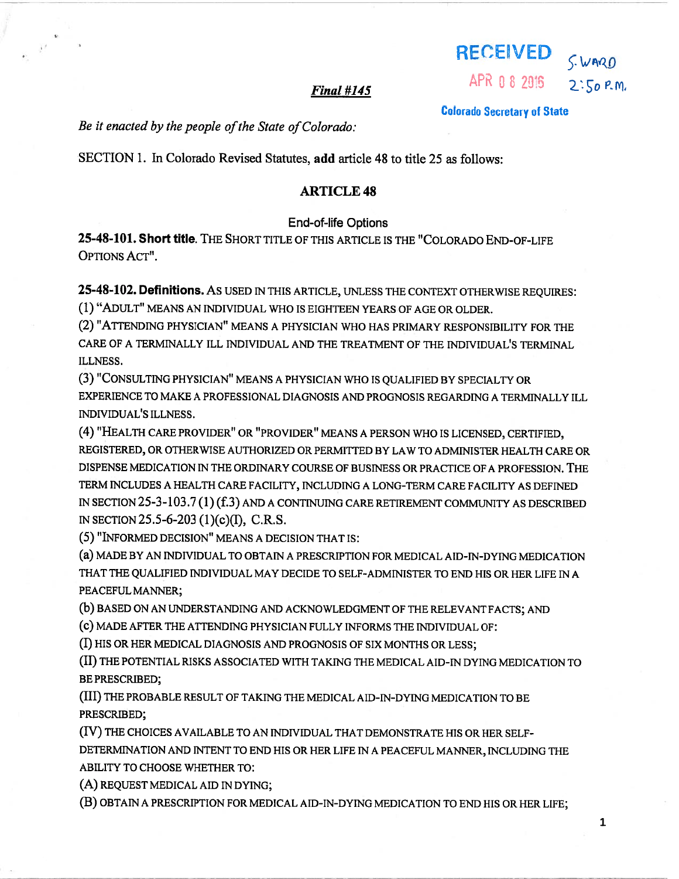| <b>RECEIVED</b> | S. WARD     |
|-----------------|-------------|
| APR 0 8 2015    | $2:50$ P.M. |

Colorado Secretary of State

### $Final$ #145

Be it enacted by the people of the State of Colorado:

SECTION 1. In Colorado Revised Statutes, add article 48 to title 25 as follows:

# ARTICLE 48

#### End-of-life Options

25-48-101. Short title. THE SHORT TITLE Of THIS ARTICLE IS THE "COLORADO END-OF-LIFE OPTIONS ACT".

25-48-102. Definitions. As USED IN THIS ARTICLE, UNLESS THE CONTEXT OTHERWISE REQUIRES: (1) "ADULT" MEANS AN INDIVIDUAL WHO IS EIGHTEEN YEARS OF AGE OR OLDER.

(2) "ATTENDING PHYSICIAN" MEANS <sup>A</sup> PHYSICIAN WHO HAS PRIMARY RESPONSIBILITY FOR THE CARE OF A TERMINALLY ILL INDIVIDUAL AND THE TREATMENT Of THE INDIVIDUAL'S TERMINAL ILLNESS.

(3) "CONSULTING PHYSICIAN" MEANS <sup>A</sup> PHYSICIAN WHO IS QUALIFIED BY SPECIALTY OR EXPERIENCE TO MAKE A PROFESSIONAL DIAGNOSIS AND PROGNOSIS REGARDING A TERMINALLY ILL INDIVIDUAL'S ILLNESS.

(4) "HEALTH CARE PROVIDER" OR "PROVIDER" MEANS <sup>A</sup> PERSON WHO IS LICENSED, CERTIFIED, REGISTERED, OR OTHERWISE AUTHORIZED OR PERMITTED BY LAW TO ADMINISTER HEALTH CARE OR DISPENSE MEDICATION IN THE ORDINARY COURSE OF BUSINESS OR PRACTICE Of A PROFESSION. THE TERM INCLUDES A HEALTH CARE FACILITY, INCLUDING A LONG-TERM CARE FACILITY AS DEFINED IN SECTION 25-3-103.7(1) (f.3) AND <sup>A</sup> CONTINUING CARE RETIREMENT COMMUNITY AS DESCRIBED IN SECTION 25.5-6-203 (1)(c)(I), C.R.S.

(5) "INFORMED DECISION" MEANS <sup>A</sup> DECISION THAT IS:

(a) MADE BY AN INDIVIDUAL TO OBTAIN A PRESCRIPTION FOR MEDICAL AID-IN-DYING MEDICATION THAT THE QUALIFIED INDIVIDUAL MAY DECIDE TO SELF-ADMINISTER TO END HIS OR HER LIFE IN A PEACEFUL MANNER;

(b) BASED ON AN UNDERSTANDING AND ACKNOWLEDGMENT OF THE RELEVANT FACTS; AND

(c) MADE AFTER THE ATTENDING PHYSICIAN FULLY INFORMS THE INDIVIDUAL OF:

(I) HIS OR HER MEDICAL DIAGNOSIS AND PROGNOSIS OF SIX MONTHS OR LESS;

(II) THE POTENTIAL RISKS ASSOCIATED WITH TAKING THE MEDICAL AID-IN DYING MEDICATION TO BE PRESCRIBED;

(III) THE PROBABLE RESULT OF TAKING THE MEDICAL AID-IN-DYING MEDICATION TO BE PRESCRIBED;

(IV) THE CHOICES AVAILABLE TO AN INDIVIDUAL THAT DEMONSTRATE HIS OR HER SELF DETERMINATION AND INTENT TO END HIS OR HER LIFE IN A PEACEFUL MANNER, INCLUDING THE ABILITY TO CHOOSE WHETHER To:

(A) REQUEST MEDICAL AID IN DYING;

(B) OBTAIN <sup>A</sup> PRESCRIPTION FOR MEDICAL AID-IN-DYING MEDICATION TO END HIS OR HER LIFE;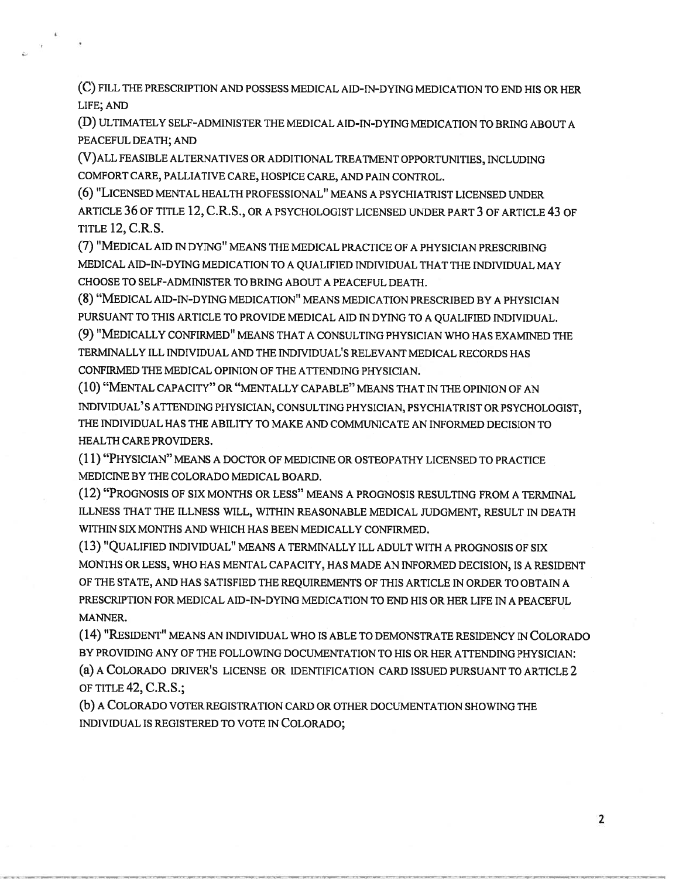(C) FILL THE PRESCRIPTION AND POSSESS MEDICAL AID-IN-DYING MEDICATION TO END HIS OR HER LIFE; AND

(D) ULTIMATELY SELF-ADMINISTER THE MEDICAL AID-IN-DYING MEDICATION TO BRING ABOUT <sup>A</sup> PEACEFUL DEATH; AND

(V)ALL FEASIBLE ALTERNATIVES OR ADDITIONAL TREATMENT OPPORTUNITIES, INCLUDING COMFORT CARE, PALLIATIVE CARE, HOSPICE CARE, AND PAIN CONTROL.

(6) "LICENSED MENTAL HEALTH PROFESSIONAL" MEANS <sup>A</sup> PSYCHIATRIST LICENSED UNDER ARTICLE 36 OF TITLE 12, C.R.S., OR <sup>A</sup> PSYCHOLOGIST LICENSED UNDER PART 3 OF ARTICLE 43 OF **TITLE 12, C.R.S.** 

(7) "MEDICAL AID IN DYING" MEANS THE MEDICAL PRACTICE OF A PHYSICIAN PRESCRIBING MEDICAL AID-TN-DYING MEDICATION TO A QUALIFIED INDIVIDUAL THAT THE INDIVIDUAL MAY CHOOSE TO SELF-ADMINISTER TO BRING ABOUT A PEACEFUL DEATH.

(8) "MEDICAL AID-IN-DYING MEDICATION" MEANS MEDICATION PRESCRIBED BY <sup>A</sup> PHYSICIAN PURSUANT TO THIS ARTICLE TO PROVIDE MEDICAL AID IN DYING TO A QUALIFIED INDIVIDUAL. (9) "MEDICALLY CONFIRMED" MEANS THAT <sup>A</sup> CONSULTING PHYSICIAN WHO HAS EXAMINED THE TERMINALLY ILL INDIVIDUAL AND THE INDIVIDUAL'S RELEVANT MEDICAL RECORDS HAS

CONFIRMED THE MEDICAL OPINION OF THE ATTENDING PHYSICIAN.

(10) "MENTAL CAPACITY" OR "MENTALLY CAPABLE" MEANS THAT IN THE OPINION OF AN INDIVIDUAL' S ATTENDING PHYSICIAN, CONSULTING PHYSICIAN, PSYCHIATRIST OR PSYCHOLOGIST, THE INDIVIDUAL HAS THE ABILITY TO MAKE AND COMMUNICATE AN INFORMED DECISION TO HEALTH CARE PROVIDERS.

(11) "PHYSICIAN" MEANS <sup>A</sup> DOCTOR OF MEDICINE OR OSTEOPATHY LICENSED TO PRACTICE MEDICINE BY THE COLORADO MEDICAL BOARD.

(12) "PROGNOSIS OF SIX MONTHS OR LESS" MEANS <sup>A</sup> PROGNOSIS RESULTING FROM <sup>A</sup> TERMINAL ILLNESS THAT THE ILLNESS WILL, WITHIN REASONABLE MEDICAL JUDGMENT, RESULT IN DEATH WITHIN SIX MONTHS AND WHICH HAS BEEN MEDICALLY CONFIRMED.

(13) "QUALIFIED INDIVIDUAL" MEANS <sup>A</sup> TERMINALLY ILL ADULT WITH <sup>A</sup> PROGNOSIS OF SIX MONTHS OR LESS, WHO HAS MENTAL CAPACITY, HAS MADE AN INFORMED DECISION, IS A RESIDENT OF THE STATE, AND HAS SATISFIED THE REQUIREMENTS OF THIS ARTICLE IN ORDER TO OBTAIN A PRESCRIPTION FOR MEDICAL AID-IN-DYING MEDICATION TO END HIS OR HER LIFE IN A PEACEFUL MANNER.

(14) "RESIDENT" MEANS AN INDIVIDUAL WHO IS ABLE TO DEMONSTRATE RESIDENCY IN COLORADO BY PROVIDING ANY OF THE FOLLOWING DOCUMENTATION TO HIS OR HER ATTENDING PHYSICIAN: (a) A COLORADO DRIVER'S LICENSE OR IDENTIFICATION CARD ISSUED PURSUANT TO ARTICLE 2 OF TITLE 42, C.R.S.;

(b) A COLORADO VOTER REGISTRATION CARD OR OTHER DOCUMENTATION SHOWING THE INDIVIDUAL IS REGISTERED TO VOTE IN COLORADO;

2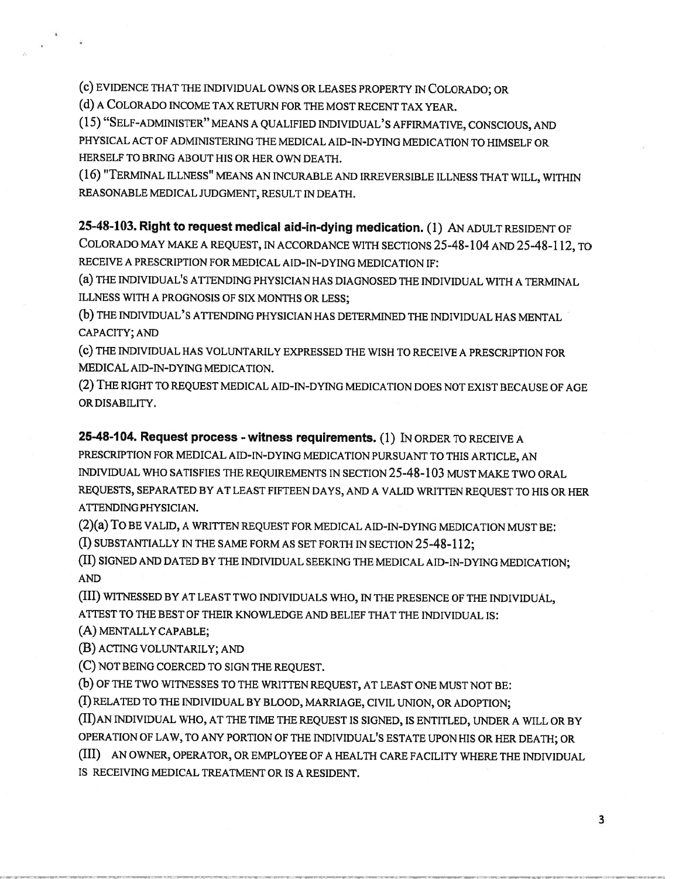(c) EVIDENCE THAT THE INDIVIDUAL OWNS OR LEASES PROPERTY IN COLORADO; OR

(d) <sup>A</sup> COLORADO INCOME TAX RETURN FOR THE MOST RECENT TAX YEAR.

(15) "SELF-ADMINISTER" MEANS <sup>A</sup> QUALIFIED INDIVIDUAL'S AFFIRMATIVE, CONSCIOUS, AND PHYSICAL ACT OF ADMINISTERING THE MEDICAL AID-IN-DYING MEDICATION TO HIMSELF OR HERSELF TO BRING ABOUT HIS OR HER OWN DEATH.

(16) "TERMINAL ILLNESS" MEANS AN INCURABLE AND IRREVERSIBLE ILLNESS THAT WILL, WITHIN REASONABLE MEDICAL JUDGMENT, RESULT IN DEATH.

# 25-48-103. Right to request medical aid-in-dying medication. (1) AN ADULT RESIDENT OF

COLORADO MAY MAKE <sup>A</sup> REQUEST, IN ACCORDANCE WITH SECTIONS 25-48-104 AND 25-48-1 12, TO RECEIVE A PRESCRIPTION FOR MEDICAL AID-IN-DYING MEDICATION IF:

(a) THE INDIVIDUAL'S ATTENDING PHYSICIAN HAS DIAGNOSED THE INDIVIDUAL WITH <sup>A</sup> TERMINAL ILLNESS WITH A PROGNOSIS OF SIX MONThS OR LESS;

(b) THE INDIVIDUAL' <sup>S</sup> ATTENDING PHYSICIAN HAS DETERMINED THE INDIVIDUAL HAS MENTAL CAPACITY; AND

(c) THE INDIVIDUAL HAS VOLUNTARILY EXPRESSED THE WISH TO RECEIVE <sup>A</sup> PRESCRIPTION FOR MEDICAL AID-IN-DYING MEDICATION.

(2) THE RIGHT TO REQUEST MEDICAL AID-IN-DYING MEDICATION DOES NOT EXIST BECAUSE OF AGE OR DISABILITY.

25-48-104. Request process - witness requirements. (1) IN ORDER TO RECEIVE A

PRESCRIPTION FOR MEDICAL AID-IN-DYING MEDICATION PURSUANT TO THIS ARTICLE, AN INDIVIDUAL WHO SATISFIES THE REQUIREMENTS IN SECTION 25-48-103 MUST MAKE TWO ORAL REQUESTS, SEPARATED BY AT LEAST FIFTEEN DAYS, AND <sup>A</sup> VALID WRITTEN REQUEST TO HIS OR HER ATTENDING PHYSICIAN.

(2)(a) To BE VALID, <sup>A</sup> WRITTEN REQUEST FOR MEDICAL AID-IN-DYING MEDICATION MUST BE:

(I) SUBSTANTIALLY IN THE SAME FORM AS SET FORTH IN SECTION 25-48-112;

(II) SIGNED AND DATED BY THE INDIVIDUAL SEEKING THE MEDICAL AID-IN-DYING MEDICATION; AND

(III) WITNESSED BY AT LEAST TWO INDIVIDUALS WHO, IN THE PRESENCE OF THE INDIVIDUAL, ATTEST TO THE BEST OF THEIR KNOWLEDGE AND BELIEF THAT THE INDIVIDUAL IS:

(A) MENTALLY CAPABLE;

(B) ACTING VOLUNTARILY; AND

(C) NOT BEING COERCED TO SIGN THE REQUEST.

(b) OF THE TWO WITNESSES TO THE WRITTEN REQUEST, AT LEAST ONE MUST NOT BE:

(I) RELATED TO THE INDIVIDUAL BY BLOOD, MARRIAGE, CIVIL UNION, OR ADOPTION;

(II)AN INDIVIDUAL WHO, AT THE TIME THE REQUEST IS SIGNED, IS ENTITLED, UNDER A WILL OR BY OPERATION OF LAW, TO ANY PORTION OF THE INDIVIDUAL'S ESTATE UPON HIS OR HER DEATH; OR

(III) AN OWNER, OPERATOR, OR EMPLOYEE OF <sup>A</sup> HEALTH CARE FACILITY WHERE THE INDIVIDUAL IS RECEIVING MEDICAL TREATMENT OR IS A RESIDENT.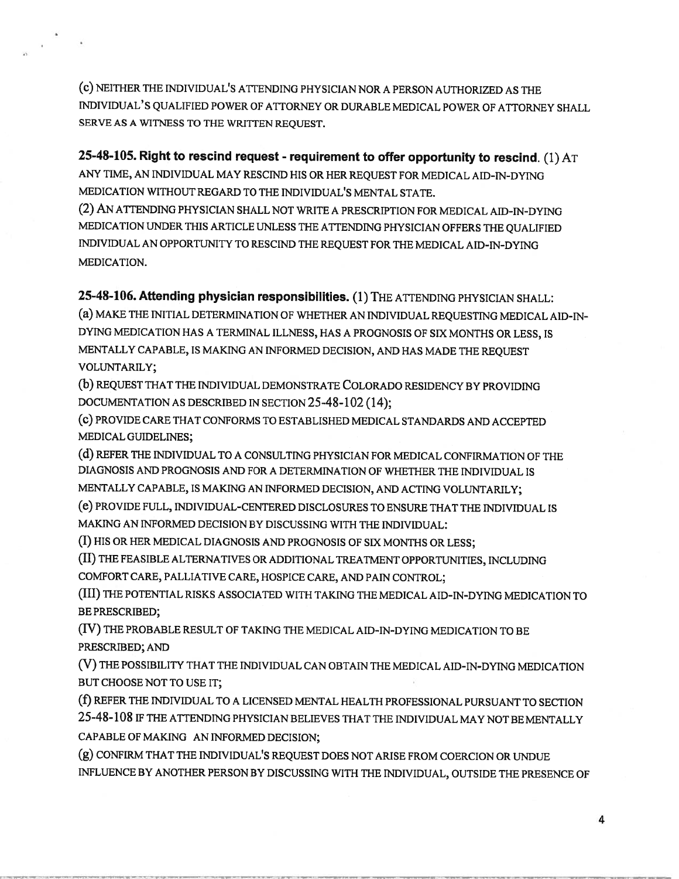(c) NEITHER THE INDIVIDUAL'S ATTENDING PHYSICIAN NOR <sup>A</sup> PERSON AUTHORIZED AS THE INDIVIDUAL'S QUALIFIED POWER OF ATTORNEY OR DURABLE MEDICAL POWER OF ATTORNEY SHALL SERVE AS A WITNESS TO THE WRITTEN REQUEST.

25-48-105. Right to rescind request - requirement to offer opportunity to rescind. (1)  $AT$ 

ANY TIME, AN INDIVIDUAL MAY RESCIND HIS OR HER REQUEST FOR MEDICAL AID-IN-DYING MEDICATION WITHOUT REGARD TO THE INDIVIDUAL'S MENTAL STATE.

(2) AN ATTENDING PHYSICIAN SHALL NOT WRITE A PRESCRIPTION FOR MEDICAL AID-IN-DYING MEDICATION UNDER THIS ARTICLE UNLESS THE ATTENDING PHYSICIAN OFFERS THE QUALIFIED INDIVIDUAL AN OPPORTUNITY TO RESCIND THE REQUEST FOR THE MEDICAL AID-IN-DYING MEDICATION.

25-48-106. Attending <sup>p</sup>hysician responsibilities. (1) THE ATTENDING PHYSICIAN SHALL: (a) MAKE THE INITIAL DETERMINATION OF WHETHER AN INDIVIDUAL REQUESTING MEDICAL AID-IN-DYING MEDICATION HAS <sup>A</sup> TERMINAL ILLNESS, HAS <sup>A</sup> PROGNOSIS OF SIX MONTHS OR LESS, IS MENTALLY CAPABLE, IS MAKING AN INFORMED DECISION, AND HAS MADE THE REQUEST VOLUNTARILY;

(b) REQUEST THAT THE INDIVIDUAL DEMONSTRATE COLORADO RESIDENCY BY PROVIDING DOCUMENTATION AS DESCRIBED IN SECTION 25-48-102(14);

(c) PROVIDE CARE THAT CONFORMS TO ESTABLISHED MEDICAL STANDARDS AND ACCEPTED MEDICAL GUIDELINES;

(d) REFER THE INDIVIDUAL TO <sup>A</sup> CONSULTING PHYSICIAN FOR MEDICAL CONFIRMATION OF THE DIAGNOSIS AND PROGNOSIS AND FOR A DETERMINATION OF WHETHER THE INDIVIDUAL IS MENTALLY CAPABLE, IS MAKING AN INFORMED DECISION, AND ACTING VOLUNTARILY;

(e) PROVIDE FULL, INDIVIDUAL-CENTERED DISCLOSURES TO ENSURE THAT THE INDIVIDUAL IS

MAKING AN INFORMED DECISION BY DISCUSSING WITH THE INDIVIDUAL:

(I) HIS OR HER MEDICAL DIAGNOSIS AND PROGNOSIS OF SIX MONTHS OR LESS;

(II) THE FEASIBLE ALTERNATIVES OR ADDITIONAL TREATMENT OPPORTUNITIES, INCLUDING COMFORT CARE, PALLIATIVE CARE, HOSPICE CARE, AND PAIN CONTROL;

(III) THE POTENTIAL RISKS ASSOCIATED WITH TAKING THE MEDICAL AID-IN-DYING MEDICATION TO BE PRESCRIBED;

(IV) THE PROBABLE RESULT OF TAKING THE MEDICAL AID-IN-DYING MEDICATION TO BE PRESCRIBED; AND

(V) THE POSSIBILITY THAT THE INDIVIDUAL CAN OBTAIN THE MEDICAL AID-IN-DYING MEDICATION BUT CHOOSE NOT TO USE IT;

(f) REFER THE INDIVIDUAL TO <sup>A</sup> LICENSED MENTAL HEALTH PROFESSIONAL PURSUANT TO SECTION 25-48-108 IF THE ATTENDING PHYSICIAN BELIEVES THAT THE INDIVIDUAL MAY NOT BE MENTALLY CAPABLE OF MAKING AN INFORMED DECISION;

(g) CONFIRM THAT THE INDIVIDUAL'S REQUEST DOES NOT ARISE FROM COERCION OR UNDUE INFLUENCE BY ANOTHER PERSON BY DISCUSSING WITH THE INDIVIDUAL, OUTSIDE THE PRESENCE OF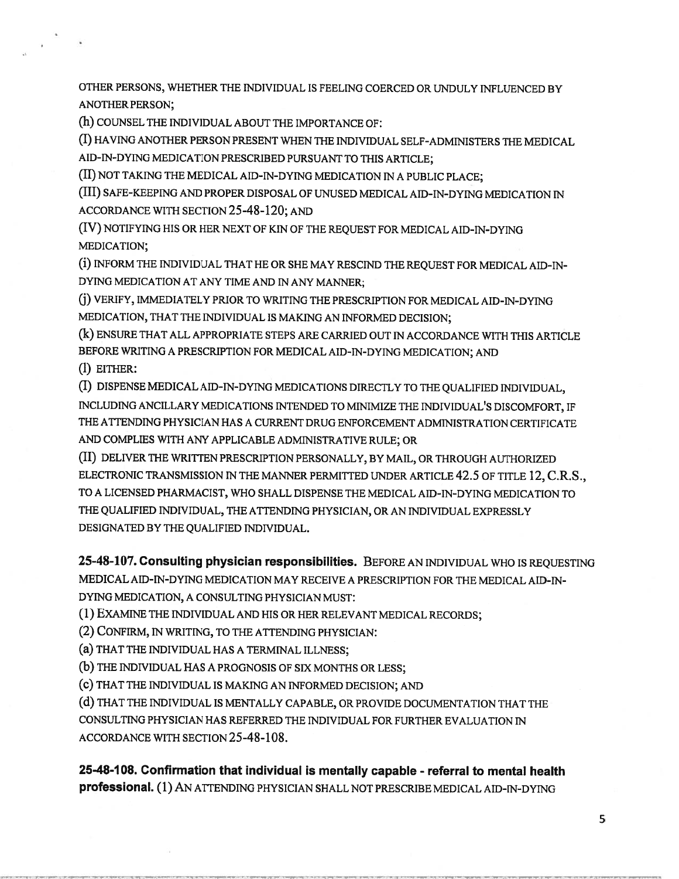OTHER PERSONS, WHETHER THE INDIVIDUAL IS FEELING COERCED OR UNDULY INFLUENCED BY ANOTHER PERSON;

(h) COUNSEL THE INDIVIDUAL ABOUT THE IMPORTANCE OF:

(I) HAVING ANOTHER PERSON PRESENT WHEN THE INDIVIDUAL SELF-ADMINISTERS THE MEDICAL AID-IN-DYING MEDICATION PRESCRIBED PURSUANT TO THIS ARTICLE;

(II) NOT TAKING THE MEDICAL AID-IN-DYING MEDICATION IN <sup>A</sup> PUBLIC PLACE;

(III) SAFE-KEEPING AND PROPER DISPOSAL OF UNUSED MEDICAL AID-IN-DYING MEDICATION IN ACCORDANCE WITH SECTION 25-48-120; AND

(IV) NOTIFYING HIS OR HER NEXT OF KIN OF THE REQUEST FOR MEDICAL AID-IN-DYING MEDICATION;

(i) INFORM THE INDIVIDUAL THAT HE OR SHE MAY RESCIND THE REQUEST FOR MEDICAL AID-IN-DYING MEDICATION AT ANY TIME AND IN ANY MANNER;

) VERIFY, IMMEDIATELY PRIOR TO WRITING THE PRESCRIPTION FOR MEDICAL AID-IN-DYING MEDICATION, THAT THE INDIVIDUAL IS MAKING AN INFORMED DECISION;

(k) ENSURE THAT ALL APPROPRIATE STEPS ARE CARRIED OUT IN ACCORDANCE WITH THIS ARTICLE BEFORE WRITING <sup>A</sup> PRESCRIPTION FOR MEDICAL AID-IN-DYING MEDICATION; AND

(1) EITHER:

(I) DISPENSE MEDICAL AID-IN-DYING MEDICATIONS DIRECTLY TO THE QUALIFIED INDIVIDUAL, INCLUDING ANCILLARY MEDICATIONS INTENDED TO MINIMIZE THE INDIVIDUAL'S DISCOMFORT, IF THE ATTENDING PHYSICIAN HAS A CURRENT DRUG ENFORCEMENT ADMINISTRATION CERTIFICATE AND COMPLIES WITH ANY APPLICABLE ADMINISTRATIVE RULE; OR

(II) DELIVER ThE WRITTEN PRESCRIPTION PERSONALLY, BY MAIL, OR THROUGH AUTHORIZED ELECTRONIC TRANSMISSION IN THE MANNER PERMITTED UNDER ARTICLE 42.5 OF TITLE 12, C.R.S., TO A LICENSED PHARMACIST, WHO SHALL DISPENSE THE MEDICAL AID-IN-DYING MEDICATION TO THE QUALIFIED INDIVIDUAL, THE ATTENDING PHYSICIAN, OR AN INDIVIDUAL EXPRESSLY DESIGNATED BY THE QUALIFIED INDIVIDUAL.

25-48-107. Consulting physician responsibilities. BEFORE AN INDIVIDUAL WHO IS REQUESTING MEDICAL AID-IN-DYING MEDICATION MAY RECEIVE A PRESCRIPTION FOR THE MEDICAL AID-IN-DYING MEDICATION, A CONSULTING PHYSICIAN MUST:

(1) EXAMINE THE INDIVIDUAL AND HIS OR HER RELEVANT MEDICAL RECORDS;

(2) CONFIRM, IN WRITING, TO THE ATTENDING PHYSICIAN:

(a) THAT THE INDIVIDUAL HAS <sup>A</sup> TERMINAL ILLNESS;

(b) THE INDIVIDUAL HAS <sup>A</sup> PROGNOSIS OF SIX MONTHS OR LESS;

(c) THAT THE INDIVIDUAL IS MAKING AN INFORMED DECISION; AND

(d) THAT THE INDIVIDUAL IS MENTALLY CAPABLE, OR PROVIDE DOCUMENTATION THAT THE CONSULTING PHYSICIAN HAS REFERRED THE INDIVIDUAL FOR FURTHER EVALUATION IN ACCORDANCE WITH SECTION 25-48-108.

25-48-1 08. Confirmation that individual is mentally capable - referral to mental health professional. (1) AN ATTENDING PHYSICIAN SHALL NOT PRESCRIBE MEDICAL AID-IN-DYING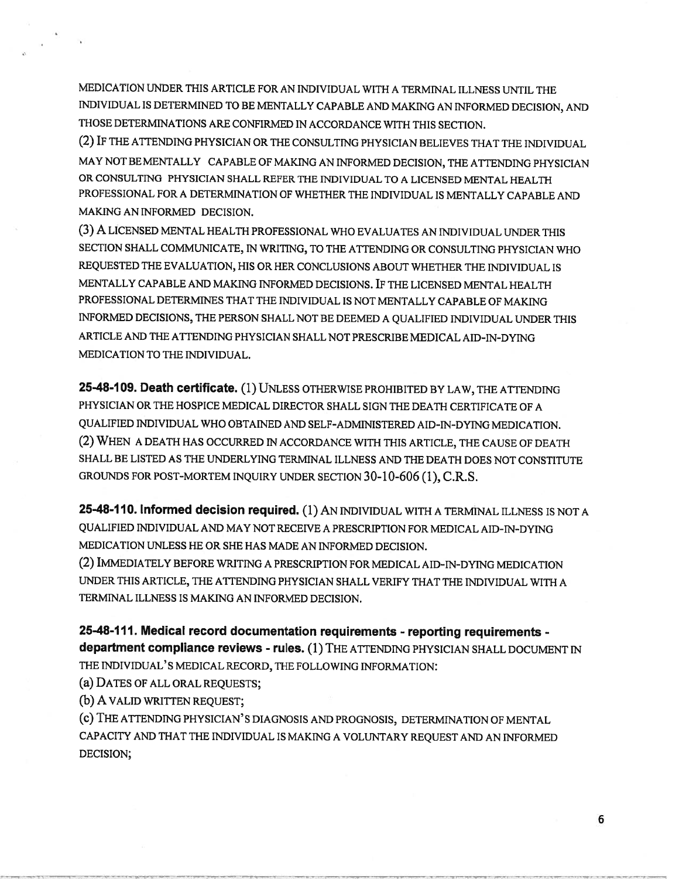MEDICATION UNDER THIS ARTICLE FOR AN INDIVIDUAL WITH A TERMINAL ILLNESS UNTIL THE INDIVIDUAL IS DETERMINED TO BE MENTALLY CAPABLE AND MAKING AN INFORMED DECISION, AND THOSE DETERMINATIONS ARE CONFIRMED IN ACCORDANCE WITH THIS SECTION.

(2) IF THE ATTENDING PHYSICIAN OR THE CONSULTING PHYSICIAN BELIEVES THAT THE INDIVIDUAL MAY NOT BE MENTALLY CAPABLE OF MAKING AN INFORMED DECISION, THE ATTENDING PHYSICIAN OR CONSULTING PHYSICIAN SHALL REFER THE INDIVIDUAL TO A LICENSED MENTAL HEALTH PROFESSIONAL FOR A DETERMINATION OF WHETHER THE INDIVIDUAL IS MENTALLY CAPABLE AND MAKING AN INFORMED DECISION.

(3) A LICENSED MENTAL HEALTH PROFESSIONAL WHO EVALUATES AN INDIVIDUAL UNDER THIS SECTION SHALL COMMUNICATE, IN WRITING, TO THE ATTENDING OR CONSULTING PHYSICIAN WHO REQUESTED THE EVALUATION, HIS OR HER CONCLUSIONS ABOUT WHETHER THE INDIVIDUAL IS MENTALLY CAPABLE AND MAKING INFORMED DECISIONS. IF THE LICENSED MENTAL HEALTH PROFESSIONAL DETERMINES THAT THE INDIVIDUAL IS NOT MENTALLY CAPABLE OF MAKING INFORMED DECISIONS, THE PERSON SHALL NOT BE DEEMED <sup>A</sup> QUALIFIED INDIVIDUAL UNDER THIS ARTICLE AND THE ATTENDING PHYSICIAN SHALL NOT PRESCRIBE MEDICAL AID-IN-DYING MEDICATION TO THE INDIVIDUAL.

25-48-109. Death certificate. (1) UNLESS OTHERWISE PROHIBITED BY LAW, THE ATTENDING PHYSICIAN OR THE HOSPICE MEDICAL DIRECTOR SHALL SIGN THE DEATH CERTIFICATE OF A QUALIFIED INDIVIDUAL WHO OBTAINED AND SELF-ADMINISTERED AID-IN-DYING MEDICATION. (2) WHEN <sup>A</sup> DEATH HAS OCCURRED IN ACCORDANCE WITH THIS ARTICLE, THE CAUSE OF DEATH SHALL BE LISTED AS THE UNDERLYING TERMINAL ILLNESS AND ThE DEATH DOES NOT CONSTITUTE GROUNDS FOR POST-MORTEM INQUIRY UNDER SECTION 30-10-606(1), C.R.S.

25-48-110. Informed decision required. (1) AN INDIVIDUAL WITH A TERMINAL ILLNESS IS NOT A QUALIFIED INDIVIDUAL AND MAY NOT RECEIVE A PRESCRIPTION FOR MEDICAL AID-IN-DYING MEDICATION UNLESS HE OR SHE HAS MADE AN INFORMED DECISION.

(2) IMMEDIATELY BEFORE WRITING <sup>A</sup> PRESCRIPTION FOR MEDICAL AID-IN-DYING MEDICATION UNDER THIS ARTICLE, THE ATTENDING PHYSICIAN SHALL VERIFY THAT THE INDIVIDUAL WITH A TERMINAL ILLNESS IS MAKING AN INFORMED DECISION.

25-48-111. Medical record documentation requirements - reporting requirements department compliance reviews - rules. (1) THE ATTENDING PHYSICIAN SHALL DOCUMENT IN THE INDIVIDUAL'S MEDICAL RECORD, THE FOLLOWING INFORMATION:

(a) DATES OF ALL ORAL REQUESTS;

(b) A VALID WRITTEN REQUEST;

(c) THE ATTENDING PHYSICIAN'S DIAGNOSIS AND PROGNOSIS, DETERMINATION OF MENTAL CAPACITY AND THAT THE INDIVIDUAL IS MAKING <sup>A</sup> VOLUNTARY REQUEST AND AN INFORMED DECISION;

6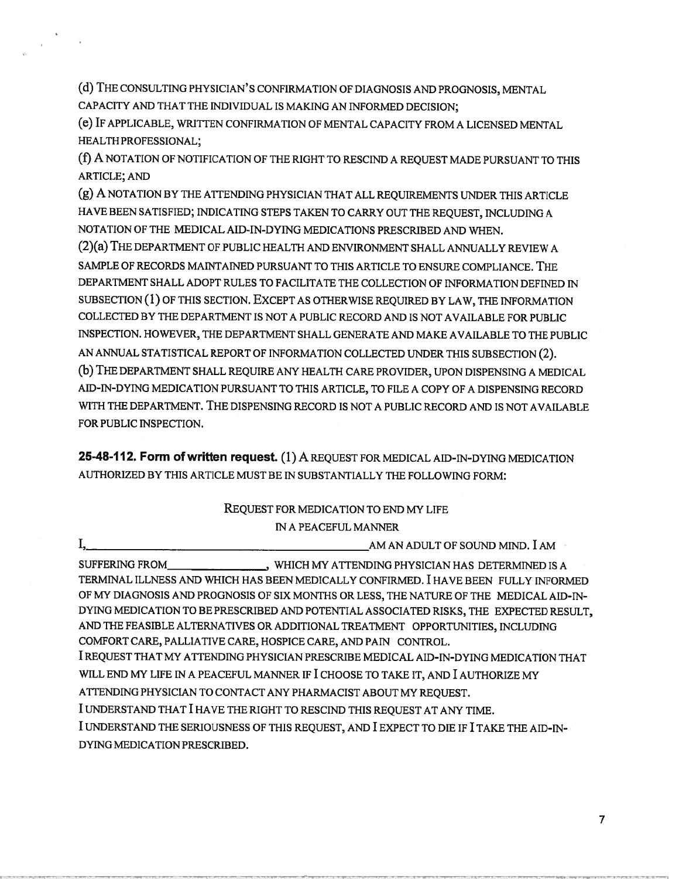(d) THE CONSULTING PHYSICIAN'S CONFIRMATION OF DIAGNOSIS AND PROGNOSIS, MENTAL CAPACITY AND THAT THE INDIVIDUAL IS MAKING AN INFORMED DECISION;

(e) IF APPLICABLE, WRITTEN CONFIRMATION Of MENTAL CAPACITY FROM <sup>A</sup> LICENSED MENTAL HEALTH PROFESSIONAL;

(f) A NOTATION OF NOTIFICATION OF THE RIGHT TO RESCIND <sup>A</sup> REQUEST MADE PURSUANT TO THIS ARTICLE; AND

(g) A NOTATION BY THE ATTENDING PHYSICIAN THAT ALL REQUIREMENTS UNDER THIS ARTICLE HAVE BEEN SATISFIED; INDICATING STEPS TAKEN TO CARRY OUT THE REQUEST, INCLUDING <sup>A</sup> NOTATION Of THE MEDICAL AID-IN-DYING MEDICATIONS PRESCRIBED AND WHEN.

(2)(a) THE DEPARTMENT OF PUBLIC HEALTH AND ENVIRONMENT SHALL ANNUALLY REVIEW <sup>A</sup> SAMPLE OF RECORDS MAINTAINED PURSUANT TO THIS ARTICLE TO ENSURE COMPLIANCE. THE DEPARTMENT SHALL ADOPT RULES TO FACILITATE THE COLLECTION OF INFORMATION DEFINED IN SUBSECTION (1) OF THIS SECTION. EXCEPT AS OTHERWISE REQUIRED BY LAW, THE INFORMATION COLLECTED BY THE DEPARTMENT IS NOT A PUBLIC RECORD AND IS NOT AVAILABLE FOR PUBLIC INSPECTION. HOWEVER, THE DEPARTMENT SHALL GENERATE AND MAKE AVAILABLE TO THE PUBLIC AN ANNUAL STATISTICAL REPORT OF INFORMATION COLLECTED UNDER THIS SUBSECTION (2). (b) THE DEPARTMENT SHALL REQUIRE ANY HEALTH CARE PROVIDER, UPON DISPENSING <sup>A</sup> MEDICAL AID-IN-DYING MEDICATION PURSUANT TO THIS ARTICLE, TO FILE A COPY Of A DISPENSING RECORD WITH THE DEPARTMENT. THE DISPENSING RECORD IS NOT A PUBLIC RECORD AND IS NOT AVAILABLE FOR PUBLIC INSPECTION.

25-48-112. Form of written request. (1) A REQUEST FOR MEDICAL AID-IN-DYING MEDICATION AUTHORIZED BY THIS ARTICLE MUST BE IN SUBSTANTIALLY THE FOLLOWING FORM:

### REQUEST FOR MEDICATION TO END MY LIFE IN A PEACEFUL MANNER

I, AM AN ADULT OF SOUND MIND. I AM

SUFFERING FROM ,WHICH MY ATTENDING PHYSICIAN HAS DETERMINED IS A TERMINAL ILLNESS AND WHICH HAS BEEN MEDICALLY CONFIRMED. I HAVE BEEN FULLY INFORMED OF MY DIAGNOSIS AND PROGNOSIS OF SIX MONTHS OR LESS, THE NATURE OF THE MEDICAL AID-IN-DYING MEDICATION TO BE PRESCRIBED AND POTENTIAL ASSOCIATED RISKS, THE EXPECTED RESULT, AND THE FEASIBLE ALTERNATIVES OR ADDITIONAL TREATMENT OPPORTUNITIES, INCLUDING COMFORT CARE, PALLIATIVE CARE, HOSPICE CARE, AND PAIN CONTROL. I REQUEST THAT MY ATTENDING PHYSICIAN PRESCRIBE MEDICAL AID-IN-DYING MEDICATION THAT WILL END MY LIFE IN <sup>A</sup> PEACEFUL MANNER If I CHOOSE TO TAKE IT, AND I AUTHORIZE MY ATTENDING PHYSICIAN TO CONTACT ANY PHARMACIST ABOUT MY REQUEST.

I UNDERSTAND THAT I HAVE THE RIGHT TO RESCIND THIS REQUEST AT ANY TIME.

I UNDERSTAND THE SERIOUSNESS OF THIS REQUEST, AND I EXPECT TO DIE IF I TAKE THE AID-IN DYING MEDICATION PRESCRIBED.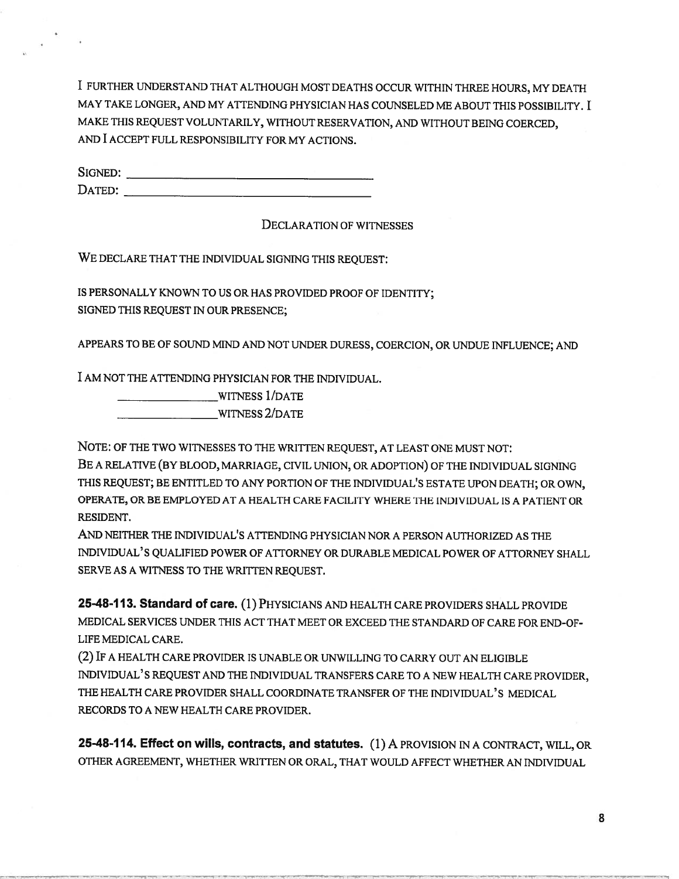I FURTHER UNDERSTAND THAT ALTHOUGH MOST DEATHS OCCUR WITHIN THREE HOURS, MY DEATH MAY TAKE LONGER, AND MY ATTENDING PHYSICIAN HAS COUNSELED ME ABOUT THIS POSSIBILITY. I MAKE THIS REQUEST VOLUNTARILY, WITHOUT RESERVATION, AND WITHOUT BEING COERCED, AND I ACCEPT FULL RESPONSIBILITY FOR MY ACTIONS.

SIGNED: DATED:

DECLARATION OF WITNESSES

WE DECLARE THAT THE INDIVIDUAL SIGNING THIS REQUEST:

IS PERSONALLY KNOWN TO US OR HAS PROVIDED PROOF OF IDENTITY; SIGNED THIS REQUEST IN OUR PRESENCE;

APPEARS TO BE Of SOUND MIND AND NOT UNDER DURESS, COERCION, OR UNDUE INFLUENCE; AND

I AM NOT THE ATTENDING PHYSICIAN FOR THE INDIVIDUAL.

WITNESS 1/DATE 2/DATE

NOTE: OF THE TWO WITNESSES TO THE WRITTEN REQUEST, AT LEAST ONE MUST NOT: BE A RELATIVE (BY BLOOD, MARRIAGE, CIVIL UNION, OR ADOPTION) Of THE INDIVIDUAL SIGNING THIS REQUEST; BE ENTITLED TO ANY PORTION OF THE INDIVIDUAL'S ESTATE UPON DEATH; OR OWN, OPERATE, OR BE EMPLOYED AT A HEALTH CARE FACILITY WHERE ThE INDIVIDUAL IS A PATIENT OR RESIDENT.

AND NEITHER THE INDIVIDUAL'S ATTENDING PHYSICIAN NOR A PERSON AUTHORIZED AS THE INDIVIDUAL'S QUALIFIED POWER OF ATTORNEY OR DURABLE MEDICAL POWER Of ATTORNEY SHALL SERVE AS A WITNESS TO THE WRITTEN REQUEST.

25-48-113. Standard of care. (1) PHYSICIANS AND HEALTH CARE PROVIDERS SHALL PROVIDE MEDICAL SERVICES UNDER THIS ACT THAT MEET OR EXCEED THE STANDARD OF CARE FOR END-OF-LIFE MEDICAL CARE.

(2) IF <sup>A</sup> HEALTH CARE PROVIDER IS UNABLE OR UNWILLING TO CARRY OUT AN ELIGIBLE INDIVIDUAL'S REQUEST AND THE INDIVIDUAL TRANSFERS CARE TO A NEW HEALTH CARE PROVIDER, THE HEALTH CARE PROVIDER SHALL COORDINATE TRANSFER OF THE INDIVIDUAL'S MEDICAL RECORDS TO A NEW HEALTH CARE PROVIDER.

25-48-114. Effect on wills, contracts, and statutes. (1) A PROVISION IN A CONTRACT, WILL, OR OTHER AGREEMENT, WHETHER WRITTEN OR ORAL, THAT WOULD AFFECT WHETHER AN INDIVIDUAL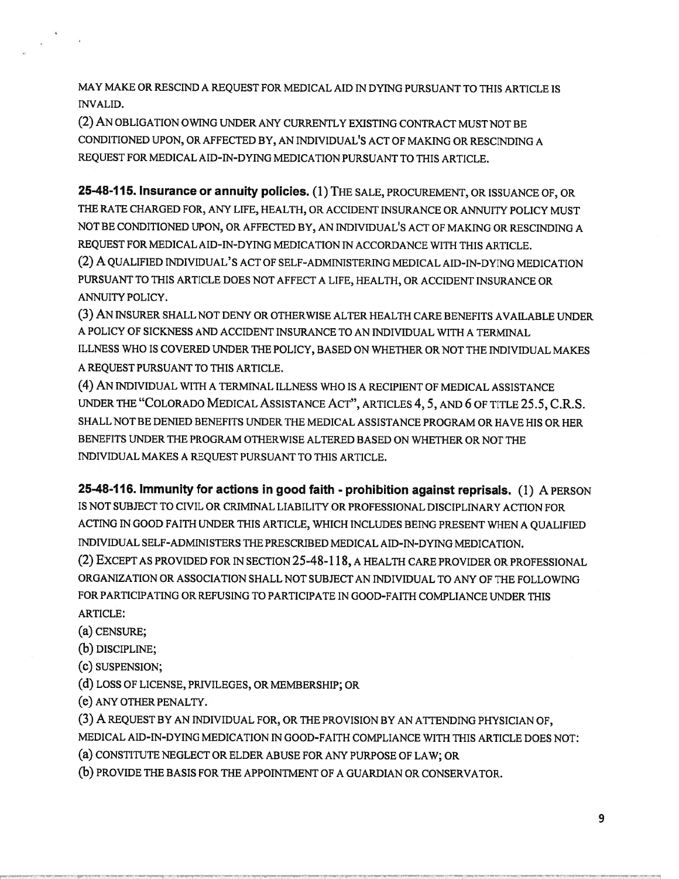MAY MAKE OR RESCIND A REQUEST FOR MEDICAL AID IN DYING PURSUANT TO THIS ARTICLE IS INVALID.

(2) AN OBLIGATION OWING UNDER ANY CURRENTLY EXISTING CONTRACT MUST NOT BE CONDITIONED UPON, OR AFFECTED BY, AN INDIVIDUAL'S ACT OF MAKING OR RESCINDING A REQUEST FOR MEDICAL AID-IN-DYING MEDICATION PURSUANT TO THIS ARTICLE.

25-48-115. Insurance or annuity policies. (1)THE SALE, PROCUREMENT, OR ISSUANCE OF, OR THE RATE CHARGED FOR, ANY LIFE, HEALTH, OR ACCIDENT INSURANCE OR ANNUITY POLICY MUST NOT BE CONDITIONED UPON, OR AFFECTED BY, AN INDIVIDUAL'S ACT OF MAKING OR RESCINDING A REQUEST FOR MEDICAL AID-IN-DYING MEDICATION IN ACCORDANCE WITH THIS ARTICLE.

(2) A QUALIFIED INDIVIDUAL' <sup>S</sup> ACT OF SELF-ADMINISTERING MEDICAL AID-IN-DYING MEDICATION PURSUANT TO THIS ARTICLE DOES NOT AFFECT A LIFE, HEALTH, OR ACCIDENT INSURANCE OR ANNUITY POLICY.

(3) AN INSURER SHALL NOT DENY OR OTHERWISE ALTER HEALTH CARE BENEFITS AVAILABLE UNDER A POLICY OF SICKNESS AND ACCIDENT INSURANCE TO AN INDIVIDUAL WITH A TERMINAL ILLNESS WHO IS COVERED UNDER THE POLICY, BASED ON WHETHER OR NOT THE INDIVIDUAL MAKES A REQUEST PURSUANT TO THIS ARTICLE.

(4) AN INDIVIDUAL WITH <sup>A</sup> TERMINAL ILLNESS WHO IS <sup>A</sup> RECIPIENT OF MEDICAL ASSISTANCE UNDER THE "COLORADO MEDICAL ASSISTANCE ACT", ARTICLES 4,5, AND 6 OF TITLE 25.5, C.R.S. SHALL NOT BE DENIED BENEFITS UNDER THE MEDICAL ASSISTANCE PROGRAM OR HAVE HIS OR HER BENEFITS UNDER THE PROGRAM OTHERWISE ALTERED BASED ON WHETHER OR NOT THE INDIVIDUAL MAKES A REQUEST PURSUANT TO THIS ARTICLE.

25-48-116. Immunity for actions in good faith - prohibition against reprisals. (1) A PERSON IS NOT SUBJECT TO CIVIL OR CRIMINAL LIABILITY OR PROFESSIONAL DISCIPLINARY ACTION FOR ACTING IN GOOD FAITH UNDER THIS ARTICLE, WHICH INCLUDES BEING PRESENT WHEN <sup>A</sup> QUALIFIED INDIVIDUAL SELF-ADMINISTERS THE PRESCRIBED MEDICAL AID-IN-DYING MEDICATION. (2) EXCEPT AS PROVIDED FOR IN SECTION 25-48-1 18, <sup>A</sup> HEALTH CARE PROVIDER OR PROFESSIONAL ORGANIZATION OR ASSOCIATION SHALL NOT SUBJECT AN INDIVIDUAL TO ANY OF THE FOLLOWING FOR PARTICIPATING OR REFUSING TO PARTICIPATE IN GOOD-FAITH COMPLIANCE UNDER THIS

ARTICLE:

(a) CENSURE;

(b) DISCIPLINE;

(c) SUSPENSION;

(d) LOSS OF LICENSE, PRIVILEGES, OR MEMBERSHIP; OR

(e) ANY OTHER PENALTY.

(3) A REQUEST BY AN INDIVIDUAL FOR, OR THE PROVISION BY AN ATTENDING PHYSICIAN OF, MEDICAL AID-IN-DYING MEDICATION IN GOOD-FAITH COMPLIANCE WITH THIS ARTICLE DOES NOT:

(a) CONSTITUTE NEGLECT OR ELDER ABUSE FOR ANY PURPOSE OF LAW; OR

(b) PROVIDE THE BASIS FOR THE APPOINTMENT OF <sup>A</sup> GUARDIAN OR CONSERVATOR.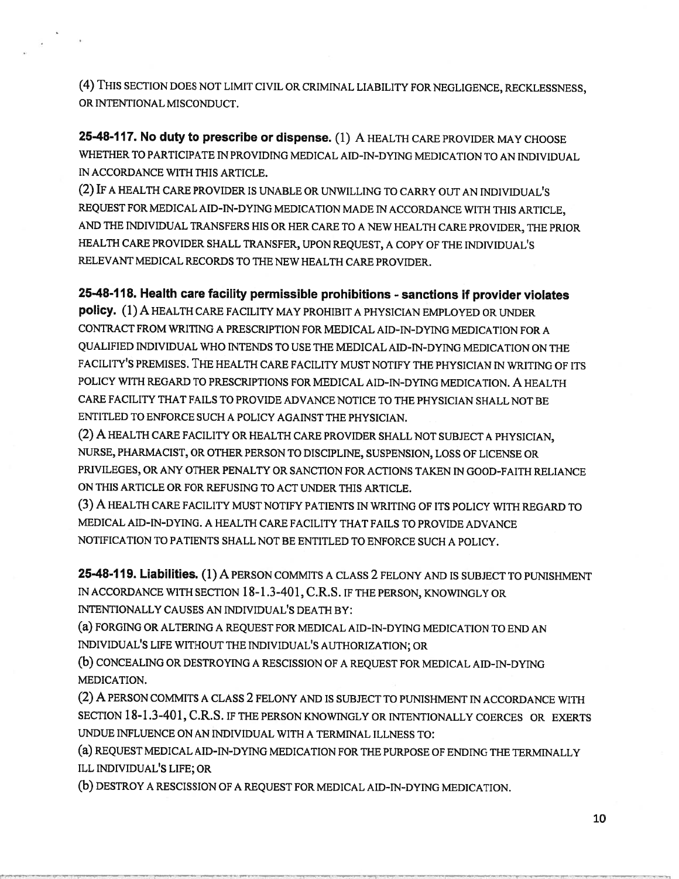(4) THIS SECTION DOES NOT LIMIT CIVIL OR CRIMINAL LIABILITY FOR NEGLIGENCE, RECKLESSNESS, OR INTENTIONAL MISCONDUCT.

25-48-117. No duty to prescribe or dispense. (1) A HEALTH CARE PROVIDER MAY CHOOSE WHETHER TO PARTICIPATE EN PROVIDING MEDICAL AID-IN-DYING MEDICATION TO AN TNDIVIDUAL IN ACCORDANCE WITH THIS ARTICLE.

(2) IF <sup>A</sup> HEALTH CARE PROVIDER IS UNABLE OR UNWILLING TO CARRY OUT AN INDIVIDUAL'S REQUEST FOR MEDICAL AID-TN-DYING MEDICATION MADE EN ACCORDANCE WITH THIS ARTICLE, AND ThE INDIVIDUAL TRANSFERS HIS OR HER CARE TO <sup>A</sup> NEW HEALTH CARE PROVIDER, THE PRIOR HEALTH CARE PROVIDER SHALL TRANSFER, UPON REQUEST, <sup>A</sup> COPY OF THE INDIVIDUAL'S RELEVANT MEDICAL RECORDS TO ThE NEW HEALTH CARE PROVIDER.

# 25-48-118. Health care facility permissible prohibitions -sanctions if provider violates

policy. (1)A HEALTH CARE FACILITY MAY PROHIBIT <sup>A</sup> PHYSICIAN EMPLOYED OR UNDER CONTRACT FROM WRITING A PRESCRIPTION FOR MEDICAL AID-IN-DYING MEDICATION FOR A QUALIFIED INDIVIDUAL WHO INTENDS TO USE THE MEDICAL AID-IN-DYING MEDICATION ON THE FACILITY'S PREMISES. THE HEALTH CARE FACILITY MUST NOTIFY THE PHYSICIAN IN WRITING OF ITS POLICY WITH REGARD TO PRESCRIPTIONS FOR MEDICAL AID-IN-DYING MEDICATION. A HEALTH CARE FACILITY THAT FAILS TO PROVIDE ADVANCE NOTICE TO THE PHYSICIAN SHALL NOT BE ENTITLED TO ENFORCE SUCH A POLICY AGAINST THE PHYSICIAN.

(2) A HEALTH CARE FACILITY OR HEALTH CARE PROVIDER SHALL NOT SUBJECT <sup>A</sup> PHYSICIAN, NURSE, PHARMACIST, OR OTHER PERSON TO DISCIPLINE, SUSPENSION, LOSS OF LICENSE OR PRIVILEGES, OR ANY OTHER PENALTY OR SANCTION FOR ACTIONS TAKEN IN GOOD-FAITH RELIANCE ON THIS ARTICLE OR FOR REFUSING TO ACT UNDER THIS ARTICLE.

(3) A HEALTH CARE FACILITY MUST NOTIFY PATIENTS IN WRITING OF ITS POLICY WITH REGARD TO MEDICAL AID-IN-DYING. A HEALTH CARE FACILITY THAT FAILS TO PROVIDE ADVANCE NOTIFICATION TO PATIENTS SHALL NOT BE ENTITLED TO ENFORCE SUCH A POLICY.

25-48-119. Liabilities. (1) A PERSON COMMITS <sup>A</sup> CLASS 2 FELONY AND IS SUBJECT TO PUNISHMENT IN ACCORDANCE WITH SECTION 18-1.3-401, C.R.S. IF THE PERSON, KNOWINGLY OR INTENTIONALLY CAUSES AN INDIVIDUAL'S DEATH BY:

(a) FORGING OR ALTERING <sup>A</sup> REQUEST FOR MEDICAL AID-IN-DYING MEDICATION TO END AN INDIVIDUAL'S LIFE WITHOUT THE INDIVIDUAL'S AUTHORIZATION; OR

(b) CONCEALING OR DESTROYING <sup>A</sup> RESCISSION OF <sup>A</sup> REQUEST FOR MEDICAL AID-IN-DYING MEDICATION.

(2) A PERSON COMMITS <sup>A</sup> CLASS 2 FELONY AND IS SUBJECT TO PUNISHMENT IN ACCORDANCE WITH SECTION 18-1.3-401, C.R.S. IF THE PERSON KNOWINGLY OR INTENTIONALLY COERCES OR EXERTS UNDUE INFLUENCE ON AN INDIVIDUAL WITH A TERMINAL ILLNESS TO:

(a) REQUEST MEDICAL AID-IN-DYING MEDICATION FOR THE PURPOSE OF ENDING THE TERMINALLY ILL INDIVIDUAL'S LIFE; OR

(b) DESTROY <sup>A</sup> RESCISSION OF <sup>A</sup> REQUEST FOR MEDICAL AID-IN-DYING MEDICATION.